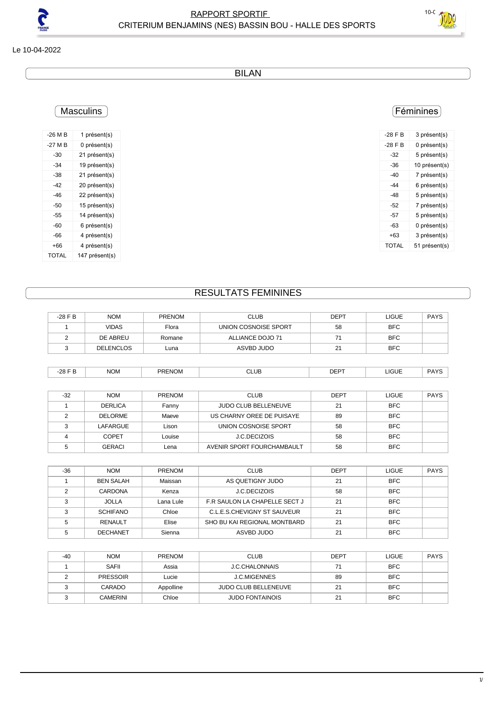

Le 10-04-2022

BILAN

## Féminines

| $-28$ F B | 3 présent(s)  |
|-----------|---------------|
| $-28$ F B | 0 présent(s)  |
| -32       | 5 présent(s)  |
| -36       | 10 présent(s) |
| -40       | 7 présent(s)  |
| -44       | 6 présent(s)  |
| -48       | 5 présent(s)  |
| -52       | 7 présent(s)  |
| -57       | 5 présent(s)  |
| -63       | 0 présent(s)  |
| +63       | 3 présent(s)  |
| TOTAL     | 51 présent(s) |

| -26 M B | 1 présent(s)   |  |
|---------|----------------|--|
| -27 M B | 0 présent(s)   |  |
| -30     | 21 présent(s)  |  |
| -34     | 19 présent(s)  |  |
| -38     | 21 présent(s)  |  |
| -42     | 20 présent(s)  |  |
| -46     | 22 présent(s)  |  |
| -50     | 15 présent(s)  |  |
| -55     | 14 présent(s)  |  |
| -60     | 6 présent(s)   |  |
| -66     | 4 présent(s)   |  |
| +66     | 4 présent(s)   |  |
| TOTAL   | 147 présent(s) |  |

**Masculins** 

# RESULTATS FEMININES

| $-28$ F B      | <b>NOM</b>       | <b>PRENOM</b> | <b>CLUB</b>                 | <b>DEPT</b> | <b>LIGUE</b> | <b>PAYS</b> |
|----------------|------------------|---------------|-----------------------------|-------------|--------------|-------------|
|                | <b>VIDAS</b>     | Flora         | UNION COSNOISE SPORT        | 58          | <b>BFC</b>   |             |
| $\overline{2}$ | DE ABREU         | Romane        | ALLIANCE DOJO 71            | 71          | <b>BFC</b>   |             |
| 3              | <b>DELENCLOS</b> | Luna          | ASVBD JUDO                  | 21          | <b>BFC</b>   |             |
|                |                  |               |                             |             |              |             |
| $-28$ F B      | <b>NOM</b>       | <b>PRENOM</b> | <b>CLUB</b>                 | <b>DEPT</b> | <b>LIGUE</b> | <b>PAYS</b> |
|                |                  |               |                             |             |              |             |
| $-32$          | <b>NOM</b>       | PRENOM        | <b>CLUB</b>                 | <b>DEPT</b> | <b>LIGUE</b> | <b>PAYS</b> |
| 1              | <b>DERLICA</b>   | Fanny         | <b>JUDO CLUB BELLENEUVE</b> | 21          | <b>BFC</b>   |             |
| 2              | <b>DELORME</b>   | Maeve         | US CHARNY OREE DE PUISAYE   | 89          | <b>BFC</b>   |             |
| 3              | <b>LAFARGUE</b>  | Lison         | UNION COSNOISE SPORT        | 58          | <b>BFC</b>   |             |
| 4              | <b>COPET</b>     | Louise        | J.C.DECIZOIS                | 58          | <b>BFC</b>   |             |
| 5              | <b>GERACI</b>    | Lena          | AVENIR SPORT FOURCHAMBAULT  | 58          | <b>BFC</b>   |             |

| $-36$ | <b>NOM</b>       | <b>PRENOM</b> | <b>CLUB</b>                    | <b>DEPT</b> | <b>LIGUE</b> | <b>PAYS</b> |
|-------|------------------|---------------|--------------------------------|-------------|--------------|-------------|
|       | <b>BEN SALAH</b> | Maissan       | AS QUETIGNY JUDO               | 21          | <b>BFC</b>   |             |
|       | CARDONA          | Kenza         | J.C.DECIZOIS                   | 58          | <b>BFC</b>   |             |
|       | <b>JOLLA</b>     | Lana Lule     | F.R. SAULON LA CHAPELLE SECT J | 21          | <b>BFC</b>   |             |
|       | <b>SCHIFANO</b>  | Chloe         | C.L.E.S.CHEVIGNY ST SAUVEUR    | 21          | <b>BFC</b>   |             |
|       | RENAULT          | Elise         | SHO BU KAI REGIONAL MONTBARD   | 21          | <b>BFC</b>   |             |
|       | <b>DECHANET</b>  | Sienna        | ASVBD JUDO                     | 21          | <b>BFC</b>   |             |

| $-40$ | <b>NOM</b>      | PRENOM    | <b>CLUB</b>            | <b>DEPT</b> | <b>LIGUE</b> | <b>PAYS</b> |
|-------|-----------------|-----------|------------------------|-------------|--------------|-------------|
|       | SAFII           | Assia     | <b>J.C.CHALONNAIS</b>  | 71          | <b>BFC</b>   |             |
|       | <b>PRESSOIR</b> | Lucie     | <b>J.C.MIGENNES</b>    | 89          | <b>BFC</b>   |             |
|       | CARADO          | Appolline | JUDO CLUB BELLENEUVE   | 21          | <b>BFC</b>   |             |
|       | <b>CAMERINI</b> | Chloe     | <b>JUDO FONTAINOIS</b> | 21          | <b>BFC</b>   |             |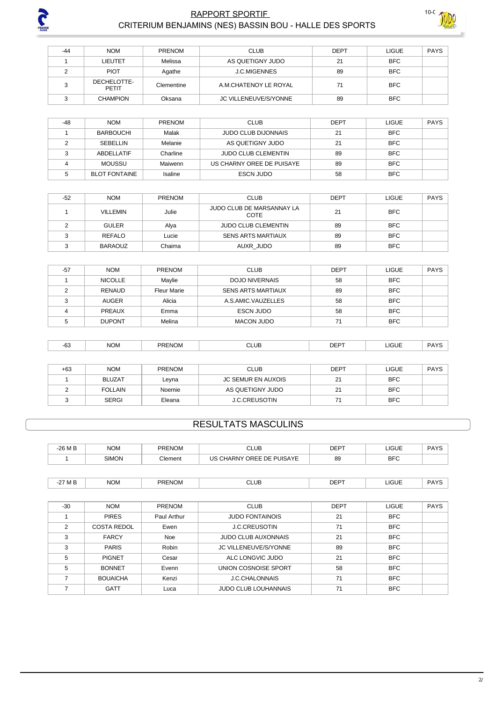

#### RAPPORT SPORTIF CRITERIUM BENJAMINS (NES) BASSIN BOU - HALLE DES SPORTS



| $-44$ | <b>NOM</b>           | PRENOM     | <b>CLUB</b>                  | <b>DEPT</b> | LIGUE      | PAYS |
|-------|----------------------|------------|------------------------------|-------------|------------|------|
|       | LIEUTET              | Melissa    | AS QUETIGNY JUDO             | 21          | <b>BFC</b> |      |
|       | <b>PIOT</b>          | Agathe     | <b>J.C.MIGENNES</b>          | 89          | <b>BFC</b> |      |
|       | DECHELOTTE-<br>PETIT | Clementine | A.M.CHATENOY LE ROYAL        | 71          | <b>BFC</b> |      |
|       | <b>CHAMPION</b>      | Oksana     | <b>JC VILLENEUVE/S/YONNE</b> | 89          | <b>BFC</b> |      |

| -48 | <b>NOM</b>           | <b>PRENOM</b> | <b>CLUB</b>                | <b>DEPT</b> | <b>LIGUE</b> | PAYS |
|-----|----------------------|---------------|----------------------------|-------------|--------------|------|
|     | <b>BARBOUCHI</b>     | Malak         | <b>JUDO CLUB DIJONNAIS</b> | 21          | <b>BFC</b>   |      |
|     | SEBELLIN             | Melanie       | AS QUETIGNY JUDO           | 21          | <b>BFC</b>   |      |
|     | ABDELLATIF           | Charline      | <b>JUDO CLUB CLEMENTIN</b> | 89          | <b>BFC</b>   |      |
|     | MOUSSU               | Maiwenn       | US CHARNY OREE DE PUISAYE  | 89          | <b>BFC</b>   |      |
|     | <b>BLOT FONTAINE</b> | Isaline       | <b>ESCN JUDO</b>           | 58          | <b>BFC</b>   |      |

| $-52$ | <b>NOM</b>      | <b>PRENOM</b> | <b>CLUB</b>                       | DEPT | <b>LIGUE</b> | PAYS |
|-------|-----------------|---------------|-----------------------------------|------|--------------|------|
|       | <b>VILLEMIN</b> | Julie         | JUDO CLUB DE MARSANNAY LA<br>COTE | 21   | <b>BFC</b>   |      |
|       | <b>GULER</b>    | Alya          | <b>JUDO CLUB CLEMENTIN</b>        | 89   | <b>BFC</b>   |      |
|       | REFALO          | Lucie         | <b>SENS ARTS MARTIAUX</b>         | 89   | <b>BFC</b>   |      |
|       | <b>BARAOUZ</b>  | Chaima        | AUXR JUDO                         | 89   | <b>BFC</b>   |      |

| $-57$ | <b>NOM</b>     | <b>PRENOM</b>      | <b>CLUB</b>               | <b>DEPT</b> | <b>LIGUE</b> | PAYS |
|-------|----------------|--------------------|---------------------------|-------------|--------------|------|
|       | <b>NICOLLE</b> | Maylie             | DOJO NIVERNAIS            | 58          | <b>BFC</b>   |      |
|       | RENAUD         | <b>Fleur Marie</b> | <b>SENS ARTS MARTIAUX</b> | 89          | <b>BFC</b>   |      |
|       | <b>AUGER</b>   | Alicia             | A.S.AMIC.VAUZELLES        | 58          | <b>BFC</b>   |      |
|       | <b>PREAUX</b>  | Emma               | <b>ESCN JUDO</b>          | 58          | <b>BFC</b>   |      |
|       | <b>DUPONT</b>  | Melina             | MACON JUDO                | 71          | <b>BFC</b>   |      |

| <b>NOM</b><br>LIGUE<br><b>PRENOM</b><br>CLUB<br>$DEF^-$<br>-ರು<br>$ -$ |
|------------------------------------------------------------------------|
|------------------------------------------------------------------------|

| $+63$ | <b>NOM</b>     | <b>PRENOM</b> | <b>CLUB</b>               | DEPT | <b>LIGUE</b> | <b>PAYS</b> |
|-------|----------------|---------------|---------------------------|------|--------------|-------------|
|       | <b>BLUZAT</b>  | Leyna         | <b>JC SEMUR EN AUXOIS</b> | 21   | <b>BFC</b>   |             |
|       | <b>FOLLAIN</b> | Noemie        | AS QUETIGNY JUDO          | 21   | <b>BFC</b>   |             |
|       | <b>SERGI</b>   | Eleana        | <b>J.C.CREUSOTIN</b>      | 74   | <b>BFC</b>   |             |

## **RESULTATS MASCULINS**

| $-26M$ B | NOM          | <b>PRENOM</b> | <b>JLUB</b>                       | <b>DEPT</b> | <b>LIGUE</b> | <b>PAYS</b> |
|----------|--------------|---------------|-----------------------------------|-------------|--------------|-------------|
|          | <b>SIMON</b> | Clement       | CHARNY (<br>OREE DE PUISAYE<br>US | 89          | <b>BFC</b>   |             |
|          |              |               |                                   |             |              |             |

| ww<br>◡∟<br>ЛL<br>-<br>____<br>___<br>_____<br>$\sim$ $\sim$ | ~-<br>\ /I | <b>NOM</b> | $\cdots$<br>PRI<br>⊂NL<br><b>MA</b> | CLUB | $- - -$ | <b>_IGUE</b> | DAVO |
|--------------------------------------------------------------|------------|------------|-------------------------------------|------|---------|--------------|------|
|--------------------------------------------------------------|------------|------------|-------------------------------------|------|---------|--------------|------|

| -30           | <b>NOM</b>      | <b>PRENOM</b> | <b>CLUB</b>                  | <b>DEPT</b> | <b>LIGUE</b> | PAYS |
|---------------|-----------------|---------------|------------------------------|-------------|--------------|------|
|               | <b>PIRES</b>    | Paul Arthur   | <b>JUDO FONTAINOIS</b>       | 21          | <b>BFC</b>   |      |
| $\mathcal{P}$ | COSTA REDOL     | Ewen          | <b>J.C.CREUSOTIN</b>         | 71          | <b>BFC</b>   |      |
| 3             | <b>FARCY</b>    | Noe           | <b>JUDO CLUB AUXONNAIS</b>   | 21          | <b>BFC</b>   |      |
| 3             | <b>PARIS</b>    | Robin         | <b>JC VILLENEUVE/S/YONNE</b> | 89          | <b>BFC</b>   |      |
| 5             | <b>PIGNET</b>   | Cesar         | ALC LONGVIC JUDO             | 21          | <b>BFC</b>   |      |
| 5             | <b>BONNET</b>   | Evenn         | UNION COSNOISE SPORT         | 58          | <b>BFC</b>   |      |
| 7             | <b>BOUAICHA</b> | Kenzi         | J.C.CHALONNAIS               | 71          | <b>BFC</b>   |      |
|               | <b>GATT</b>     | Luca          | <b>JUDO CLUB LOUHANNAIS</b>  | 71          | <b>BFC</b>   |      |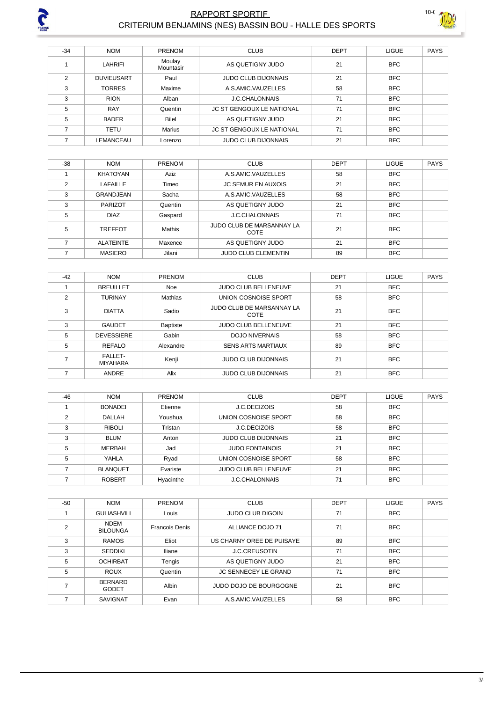

### RAPPORT SPORTIF CRITERIUM BENJAMINS (NES) BASSIN BOU - HALLE DES SPORTS



| $-34$ | <b>NOM</b>        | <b>PRENOM</b>       | <b>CLUB</b>                      | <b>DEPT</b> | <b>LIGUE</b> | <b>PAYS</b> |
|-------|-------------------|---------------------|----------------------------------|-------------|--------------|-------------|
|       | <b>LAHRIFI</b>    | Moulay<br>Mountasir | AS QUETIGNY JUDO                 | 21          | <b>BFC</b>   |             |
| C     | <b>DUVIEUSART</b> | Paul                | <b>JUDO CLUB DIJONNAIS</b>       | 21          | <b>BFC</b>   |             |
| 3     | <b>TORRES</b>     | Maxime              | A.S.AMIC.VAUZELLES               | 58          | <b>BFC</b>   |             |
| 3     | <b>RION</b>       | Alban               | <b>J.C.CHALONNAIS</b>            | 71          | <b>BFC</b>   |             |
| 5     | <b>RAY</b>        | Quentin             | <b>JC ST GENGOUX LE NATIONAL</b> | 71          | <b>BFC</b>   |             |
| 5     | <b>BADER</b>      | Bilel               | AS QUETIGNY JUDO                 | 21          | <b>BFC</b>   |             |
|       | TETU              | <b>Marius</b>       | <b>JC ST GENGOUX LE NATIONAL</b> | 71          | <b>BFC</b>   |             |
|       | LEMANCEAU         | Lorenzo             | <b>JUDO CLUB DIJONNAIS</b>       | 21          | <b>BFC</b>   |             |

| $-38$ | <b>NOM</b>       | <b>PRENOM</b> | <b>CLUB</b>                       | <b>DEPT</b> | <b>LIGUE</b> | <b>PAYS</b> |
|-------|------------------|---------------|-----------------------------------|-------------|--------------|-------------|
|       | KHATOYAN         | Aziz          | A.S.AMIC.VAUZELLES                | 58          | <b>BFC</b>   |             |
| 2     | LAFAILLE         | Timeo         | <b>JC SEMUR EN AUXOIS</b>         | 21          | <b>BFC</b>   |             |
| 3     | <b>GRANDJEAN</b> | Sacha         | A.S.AMIC.VAUZELLES                | 58          | <b>BFC</b>   |             |
| 3     | <b>PARIZOT</b>   | Quentin       | AS QUETIGNY JUDO                  | 21          | <b>BFC</b>   |             |
| 5     | <b>DIAZ</b>      | Gaspard       | <b>J.C.CHALONNAIS</b>             | 71          | <b>BFC</b>   |             |
| 5     | <b>TREFFOT</b>   | Mathis        | JUDO CLUB DE MARSANNAY LA<br>COTE | 21          | <b>BFC</b>   |             |
| ⇁     | <b>ALATEINTE</b> | Maxence       | AS QUETIGNY JUDO                  | 21          | <b>BFC</b>   |             |
|       | <b>MASIERO</b>   | Jilani        | <b>JUDO CLUB CLEMENTIN</b>        | 89          | <b>BFC</b>   |             |

| $-42$ | <b>NOM</b>                        | PRENOM          | <b>CLUB</b>                       | <b>DEPT</b> | LIGUE      | <b>PAYS</b> |
|-------|-----------------------------------|-----------------|-----------------------------------|-------------|------------|-------------|
|       | <b>BREUILLET</b>                  | <b>Noe</b>      | <b>JUDO CLUB BELLENEUVE</b>       | 21          | <b>BFC</b> |             |
| 2     | <b>TURINAY</b>                    | Mathias         | UNION COSNOISE SPORT              | 58          | <b>BFC</b> |             |
| 3     | <b>DIATTA</b>                     | Sadio           | JUDO CLUB DE MARSANNAY LA<br>COTE | 21          | <b>BFC</b> |             |
| 3     | <b>GAUDET</b>                     | <b>Baptiste</b> | <b>JUDO CLUB BELLENEUVE</b>       | 21          | <b>BFC</b> |             |
| 5     | <b>DEVESSIERE</b>                 | Gabin           | <b>DOJO NIVERNAIS</b>             | 58          | <b>BFC</b> |             |
| 5     | REFALO                            | Alexandre       | <b>SENS ARTS MARTIAUX</b>         | 89          | <b>BFC</b> |             |
|       | <b>FALLET-</b><br><b>MIYAHARA</b> | Kenji           | <b>JUDO CLUB DIJONNAIS</b>        | 21          | <b>BFC</b> |             |
|       | ANDRE                             | Alix            | <b>JUDO CLUB DIJONNAIS</b>        | 21          | <b>BFC</b> |             |

| $-46$ | <b>NOM</b>      | <b>PRENOM</b> | <b>CLUB</b>                | <b>DEPT</b> | <b>LIGUE</b> | <b>PAYS</b> |
|-------|-----------------|---------------|----------------------------|-------------|--------------|-------------|
|       | <b>BONADEI</b>  | Etienne       | J.C.DECIZOIS               | 58          | <b>BFC</b>   |             |
| ◠     | <b>DALLAH</b>   | Youshua       | UNION COSNOISE SPORT       | 58          | <b>BFC</b>   |             |
| 3     | <b>RIBOLI</b>   | Tristan       | J.C.DECIZOIS               | 58          | <b>BFC</b>   |             |
| 3     | <b>BLUM</b>     | Anton         | <b>JUDO CLUB DIJONNAIS</b> | 21          | <b>BFC</b>   |             |
| 5     | <b>MERBAH</b>   | Jad           | <b>JUDO FONTAINOIS</b>     | 21          | <b>BFC</b>   |             |
| 5     | YAHLA           | Ryad          | UNION COSNOISE SPORT       | 58          | <b>BFC</b>   |             |
|       | <b>BLANQUET</b> | Evariste      | JUDO CLUB BELLENEUVE       | 21          | <b>BFC</b>   |             |
|       | <b>ROBERT</b>   | Hyacinthe     | <b>J.C.CHALONNAIS</b>      | 71          | <b>BFC</b>   |             |

| $-50$ | <b>NOM</b>                     | PRENOM                | <b>CLUB</b>                 | <b>DEPT</b> | <b>LIGUE</b> | <b>PAYS</b> |
|-------|--------------------------------|-----------------------|-----------------------------|-------------|--------------|-------------|
|       | <b>GULIASHVILI</b>             | Louis                 | <b>JUDO CLUB DIGOIN</b>     | 71          | <b>BFC</b>   |             |
| 2     | <b>NDEM</b><br><b>BILOUNGA</b> | <b>Francois Denis</b> | ALLIANCE DOJO 71            | 71          | <b>BFC</b>   |             |
| 3     | <b>RAMOS</b>                   | Eliot                 | US CHARNY OREE DE PUISAYE   | 89          | <b>BFC</b>   |             |
| 3     | <b>SEDDIKI</b>                 | <b>Iliane</b>         | <b>J.C.CREUSOTIN</b>        | 71          | <b>BFC</b>   |             |
| 5     | <b>OCHIRBAT</b>                | Tengis                | AS QUETIGNY JUDO            | 21          | <b>BFC</b>   |             |
| 5     | <b>ROUX</b>                    | Quentin               | <b>JC SENNECEY LE GRAND</b> | 71          | <b>BFC</b>   |             |
|       | <b>BERNARD</b><br><b>GODET</b> | Albin                 | JUDO DOJO DE BOURGOGNE      | 21          | <b>BFC</b>   |             |
|       | <b>SAVIGNAT</b>                | Evan                  | A.S.AMIC.VAUZELLES          | 58          | <b>BFC</b>   |             |